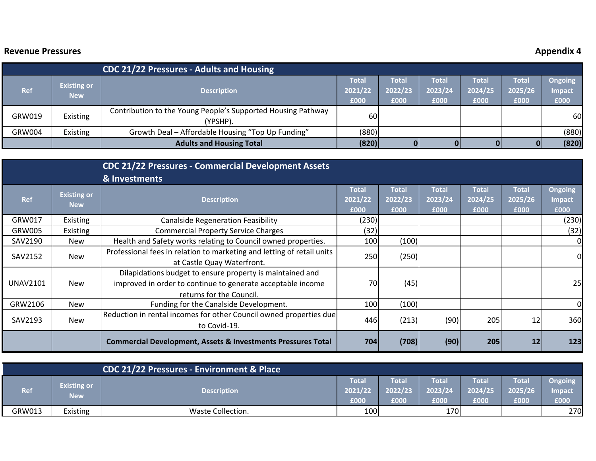## **Revenue**

## **Pressures Appendix 4**

|               |                                  | <b>CDC 21/22 Pressures - Adults and Housing</b>                          |                          |                                 |                                 |                          |                                 |                                  |
|---------------|----------------------------------|--------------------------------------------------------------------------|--------------------------|---------------------------------|---------------------------------|--------------------------|---------------------------------|----------------------------------|
| <b>Ref</b>    | <b>Existing or</b><br><b>New</b> | <b>Description</b>                                                       | Total<br>2021/22<br>£000 | <b>Total</b><br>2022/23<br>£000 | <b>Total</b><br>2023/24<br>£000 | Total<br>2024/25<br>£000 | <b>Total</b><br>2025/26<br>£000 | <b>Ongoing</b><br>Impact<br>£000 |
| GRW019        | Existing                         | Contribution to the Young People's Supported Housing Pathway<br>(YPSHP). | <b>60</b>                |                                 |                                 |                          |                                 | 60                               |
| <b>GRW004</b> | Existing                         | Growth Deal - Affordable Housing "Top Up Funding"                        | (880)                    |                                 |                                 |                          |                                 | (880)                            |
|               |                                  | <b>Adults and Housing Total</b>                                          | (820)                    |                                 |                                 |                          |                                 | (820)                            |

|                 |                                  | <b>CDC 21/22 Pressures - Commercial Development Assets</b>                                                                                           |                                 |                                 |                                 |                                 |                                 |                                         |
|-----------------|----------------------------------|------------------------------------------------------------------------------------------------------------------------------------------------------|---------------------------------|---------------------------------|---------------------------------|---------------------------------|---------------------------------|-----------------------------------------|
|                 |                                  | & Investments                                                                                                                                        |                                 |                                 |                                 |                                 |                                 |                                         |
| <b>Ref</b>      | <b>Existing or</b><br><b>New</b> | <b>Description</b>                                                                                                                                   | <b>Total</b><br>2021/22<br>£000 | <b>Total</b><br>2022/23<br>£000 | <b>Total</b><br>2023/24<br>£000 | <b>Total</b><br>2024/25<br>£000 | <b>Total</b><br>2025/26<br>£000 | <b>Ongoing</b><br><b>Impact</b><br>£000 |
| GRW017          | Existing                         | <b>Canalside Regeneration Feasibility</b>                                                                                                            | (230)                           |                                 |                                 |                                 |                                 | (230)                                   |
| <b>GRW005</b>   | Existing                         | <b>Commercial Property Service Charges</b>                                                                                                           | (32)                            |                                 |                                 |                                 |                                 | (32)                                    |
| SAV2190         | <b>New</b>                       | Health and Safety works relating to Council owned properties.                                                                                        | 100                             | (100)                           |                                 |                                 |                                 |                                         |
| SAV2152         | <b>New</b>                       | Professional fees in relation to marketing and letting of retail units<br>at Castle Quay Waterfront.                                                 | 250                             | (250)                           |                                 |                                 |                                 | 0                                       |
| <b>UNAV2101</b> | <b>New</b>                       | Dilapidations budget to ensure property is maintained and<br>improved in order to continue to generate acceptable income<br>returns for the Council. | 70                              | (45)                            |                                 |                                 |                                 | 25                                      |
| GRW2106         | <b>New</b>                       | Funding for the Canalside Development.                                                                                                               | 100                             | (100)                           |                                 |                                 |                                 |                                         |
| SAV2193         | New                              | Reduction in rental incomes for other Council owned properties due<br>to Covid-19.                                                                   | 446                             | (213)                           | (90)                            | 205                             | 12                              | 360                                     |
|                 |                                  | <b>Commercial Development, Assets &amp; Investments Pressures Total</b>                                                                              | 704                             | (708)                           | (90)                            | 205                             | 12                              | 123                                     |

|        |                                  | <b>CDC 21/22 Pressures - Environment &amp; Place</b> |                          |                          |                                 |                                        |                                  |                           |
|--------|----------------------------------|------------------------------------------------------|--------------------------|--------------------------|---------------------------------|----------------------------------------|----------------------------------|---------------------------|
| Ref    | <b>Existing or</b><br><b>New</b> | <b>Description</b>                                   | Total<br>2021/22<br>£000 | Total<br>2022/23<br>£000 | <b>Total</b><br>2023/24<br>£000 | <b>Total</b><br>2024/25<br><b>E000</b> | <b>Total</b><br>12025/26<br>£000 | Ongoing<br>Impact<br>£000 |
| GRW013 | Existing                         | Waste Collection.                                    | 100                      |                          | <b>170</b>                      |                                        |                                  | 270                       |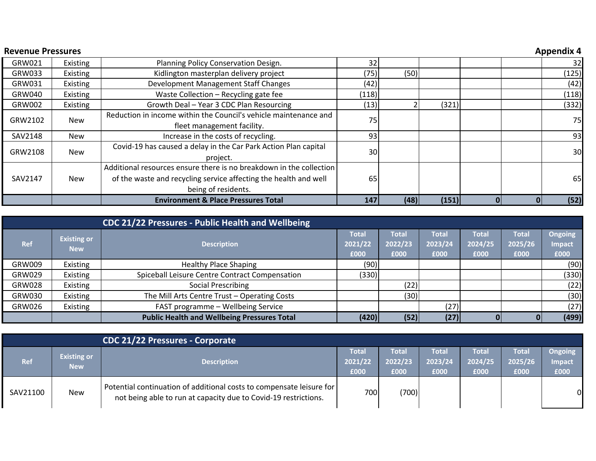| <b>Revenue Pressures</b> |            |                                                                     |       |                       |       |  | <b>Appendix 4</b> |
|--------------------------|------------|---------------------------------------------------------------------|-------|-----------------------|-------|--|-------------------|
| GRW021                   | Existing   | Planning Policy Conservation Design.                                | 32    |                       |       |  | 32                |
| GRW033                   | Existing   | Kidlington masterplan delivery project                              | (75)  |                       |       |  | (125)             |
| GRW031                   | Existing   | Development Management Staff Changes                                | (42)  |                       |       |  | (42)              |
| GRW040                   | Existing   | Waste Collection - Recycling gate fee                               | (118) |                       |       |  | (118)             |
| <b>GRW002</b>            | Existing   | Growth Deal - Year 3 CDC Plan Resourcing                            | (13)  |                       | (321) |  | (332)             |
| GRW2102                  | <b>New</b> | Reduction in income within the Council's vehicle maintenance and    | 75    |                       |       |  | 75                |
|                          |            | fleet management facility.                                          |       |                       |       |  |                   |
| SAV2148                  | <b>New</b> | Increase in the costs of recycling.                                 | 93    |                       |       |  | 93                |
| GRW2108                  | <b>New</b> | Covid-19 has caused a delay in the Car Park Action Plan capital     | 30    |                       |       |  | 30                |
|                          |            | project.                                                            |       | (50)<br>(48)<br>(151) |       |  |                   |
|                          |            | Additional resources ensure there is no breakdown in the collection |       |                       |       |  |                   |
| SAV2147                  | <b>New</b> | of the waste and recycling service affecting the health and well    | 65    |                       |       |  | 65                |
|                          |            | being of residents.                                                 |       |                       |       |  |                   |
|                          |            | <b>Environment &amp; Place Pressures Total</b>                      | 147   |                       |       |  | (52)              |

|               |                                  | CDC 21/22 Pressures - Public Health and Wellbeing  |                                 |                                 |                                 |                          |                                 |                                         |
|---------------|----------------------------------|----------------------------------------------------|---------------------------------|---------------------------------|---------------------------------|--------------------------|---------------------------------|-----------------------------------------|
| Ref           | <b>Existing or</b><br><b>New</b> | <b>Description</b>                                 | <b>Total</b><br>2021/22<br>£000 | <b>Total</b><br>2022/23<br>£000 | <b>Total</b><br>2023/24<br>£000 | Total<br>2024/25<br>£000 | <b>Total</b><br>2025/26<br>£000 | <b>Ongoing</b><br><b>Impact</b><br>£000 |
| GRW009        | Existing                         | <b>Healthy Place Shaping</b>                       | (90)                            |                                 |                                 |                          |                                 | (90)                                    |
| GRW029        | Existing                         | Spiceball Leisure Centre Contract Compensation     | (330)                           |                                 |                                 |                          |                                 | (330)                                   |
| <b>GRW028</b> | Existing                         | <b>Social Prescribing</b>                          |                                 | (22)                            |                                 |                          |                                 | (22)                                    |
| GRW030        | Existing                         | The Mill Arts Centre Trust - Operating Costs       |                                 | (30)                            |                                 |                          |                                 | (30)                                    |
| GRW026        | Existing                         | FAST programme - Wellbeing Service                 |                                 |                                 | (27)                            |                          |                                 | (27)                                    |
|               |                                  | <b>Public Health and Wellbeing Pressures Total</b> | (420)                           | (52)                            | (27)                            |                          |                                 | (499)                                   |

|          |                                  | CDC 21/22 Pressures - Corporate                                                                                                           |                          |                          |                                 |                          |                          |                                         |
|----------|----------------------------------|-------------------------------------------------------------------------------------------------------------------------------------------|--------------------------|--------------------------|---------------------------------|--------------------------|--------------------------|-----------------------------------------|
| Ref      | <b>Existing or</b><br><b>New</b> | <b>Description</b>                                                                                                                        | Total<br>2021/22<br>£000 | Total<br>2022/23<br>£000 | <b>Total</b><br>2023/24<br>£000 | Total<br>2024/25<br>£000 | Total<br>2025/26<br>£000 | <b>Ongoing</b><br><b>Impact</b><br>E000 |
| SAV21100 | <b>New</b>                       | Potential continuation of additional costs to compensate leisure for  <br>not being able to run at capacity due to Covid-19 restrictions. | 700                      | (700)                    |                                 |                          |                          | $\mathbf{0}$                            |